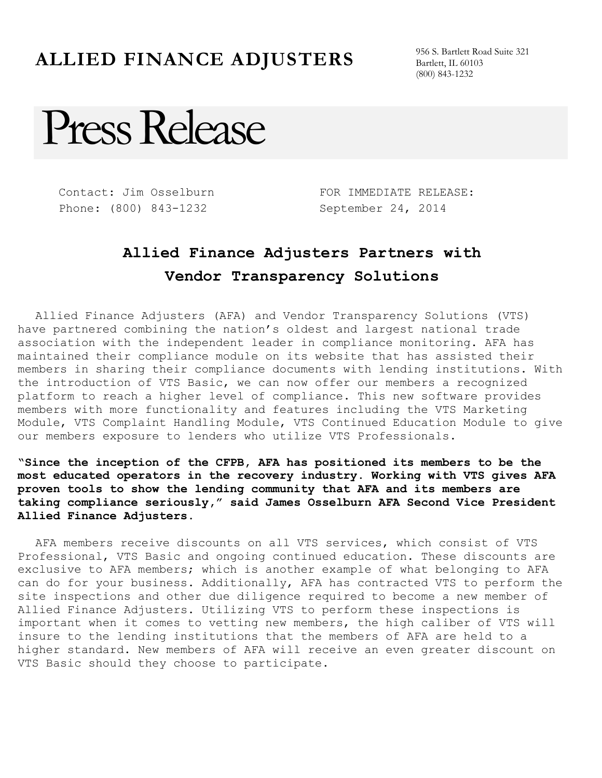## **ALLIED FINANCE ADJUSTERS** 956 S. Bartlett Road Suite 321

Bartlett, IL 60103 (800) 843-1232

## Press Release

Contact: Jim Osselburn Phone: (800) 843-1232

FOR IMMEDIATE RELEASE: September 24, 2014

## **Allied Finance Adjusters Partners with Vendor Transparency Solutions**

Allied Finance Adjusters (AFA) and Vendor Transparency Solutions (VTS) have partnered combining the nation's oldest and largest national trade association with the independent leader in compliance monitoring. AFA has maintained their compliance module on its website that has assisted their members in sharing their compliance documents with lending institutions. With the introduction of VTS Basic, we can now offer our members a recognized platform to reach a higher level of compliance. This new software provides members with more functionality and features including the VTS Marketing Module, VTS Complaint Handling Module, VTS Continued Education Module to give our members exposure to lenders who utilize VTS Professionals.

**"Since the inception of the CFPB, AFA has positioned its members to be the most educated operators in the recovery industry. Working with VTS gives AFA proven tools to show the lending community that AFA and its members are taking compliance seriously," said James Osselburn AFA Second Vice President Allied Finance Adjusters.**

AFA members receive discounts on all VTS services, which consist of VTS Professional, VTS Basic and ongoing continued education. These discounts are exclusive to AFA members; which is another example of what belonging to AFA can do for your business. Additionally, AFA has contracted VTS to perform the site inspections and other due diligence required to become a new member of Allied Finance Adjusters. Utilizing VTS to perform these inspections is important when it comes to vetting new members, the high caliber of VTS will insure to the lending institutions that the members of AFA are held to a higher standard. New members of AFA will receive an even greater discount on VTS Basic should they choose to participate.